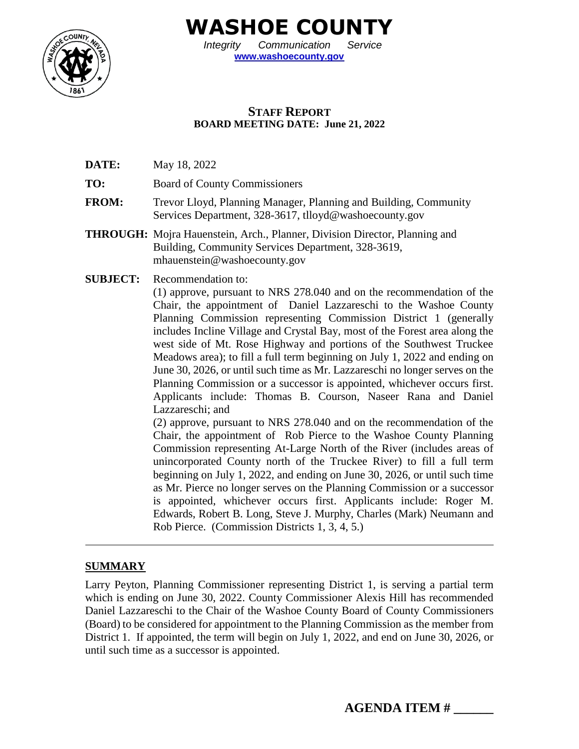

**WASHOE COUNTY**

*Integrity Communication Service* **[www.washoecounty.gov](http://www.washoecounty.gov/)**

## **STAFF REPORT BOARD MEETING DATE: June 21, 2022**

- **DATE:** May 18, 2022
- **TO:** Board of County Commissioners
- **FROM:** Trevor Lloyd, Planning Manager, Planning and Building, Community Services Department, 328-3617, tlloyd@washoecounty.gov
- **THROUGH:** Mojra Hauenstein, Arch., Planner, Division Director, Planning and Building, Community Services Department, 328-3619, mhauenstein@washoecounty.gov
- **SUBJECT:** Recommendation to:

(1) approve, pursuant to NRS 278.040 and on the recommendation of the Chair, the appointment of Daniel Lazzareschi to the Washoe County Planning Commission representing Commission District 1 (generally includes Incline Village and Crystal Bay, most of the Forest area along the west side of Mt. Rose Highway and portions of the Southwest Truckee Meadows area); to fill a full term beginning on July 1, 2022 and ending on June 30, 2026, or until such time as Mr. Lazzareschi no longer serves on the Planning Commission or a successor is appointed, whichever occurs first. Applicants include: Thomas B. Courson, Naseer Rana and Daniel Lazzareschi; and

(2) approve, pursuant to NRS 278.040 and on the recommendation of the Chair, the appointment of Rob Pierce to the Washoe County Planning Commission representing At-Large North of the River (includes areas of unincorporated County north of the Truckee River) to fill a full term beginning on July 1, 2022, and ending on June 30, 2026, or until such time as Mr. Pierce no longer serves on the Planning Commission or a successor is appointed, whichever occurs first. Applicants include: Roger M. Edwards, Robert B. Long, Steve J. Murphy, Charles (Mark) Neumann and Rob Pierce. (Commission Districts 1, 3, 4, 5.)

# **SUMMARY**

Larry Peyton, Planning Commissioner representing District 1, is serving a partial term which is ending on June 30, 2022. County Commissioner Alexis Hill has recommended Daniel Lazzareschi to the Chair of the Washoe County Board of County Commissioners (Board) to be considered for appointment to the Planning Commission as the member from District 1. If appointed, the term will begin on July 1, 2022, and end on June 30, 2026, or until such time as a successor is appointed.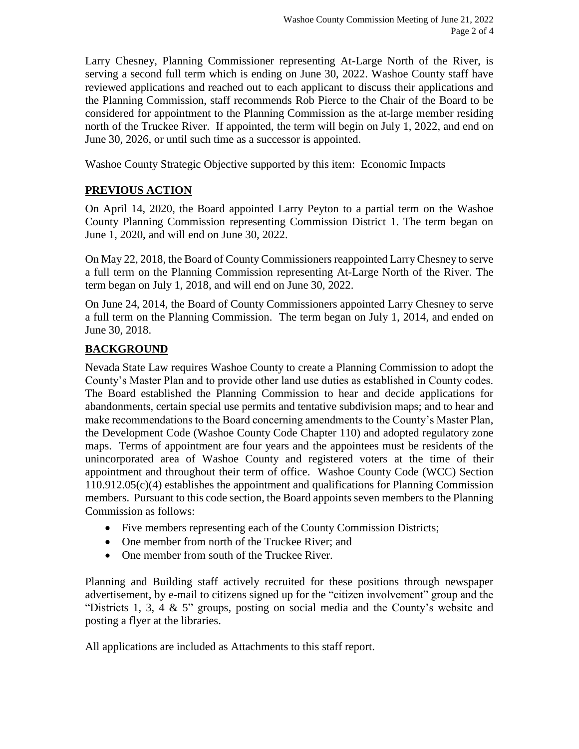Larry Chesney, Planning Commissioner representing At-Large North of the River, is serving a second full term which is ending on June 30, 2022. Washoe County staff have reviewed applications and reached out to each applicant to discuss their applications and the Planning Commission, staff recommends Rob Pierce to the Chair of the Board to be considered for appointment to the Planning Commission as the at-large member residing north of the Truckee River. If appointed, the term will begin on July 1, 2022, and end on June 30, 2026, or until such time as a successor is appointed.

Washoe County Strategic Objective supported by this item: Economic Impacts

# **PREVIOUS ACTION**

On April 14, 2020, the Board appointed Larry Peyton to a partial term on the Washoe County Planning Commission representing Commission District 1. The term began on June 1, 2020, and will end on June 30, 2022.

On May 22, 2018, the Board of County Commissioners reappointed Larry Chesney to serve a full term on the Planning Commission representing At-Large North of the River. The term began on July 1, 2018, and will end on June 30, 2022.

On June 24, 2014, the Board of County Commissioners appointed Larry Chesney to serve a full term on the Planning Commission. The term began on July 1, 2014, and ended on June 30, 2018.

## **BACKGROUND**

Nevada State Law requires Washoe County to create a Planning Commission to adopt the County's Master Plan and to provide other land use duties as established in County codes. The Board established the Planning Commission to hear and decide applications for abandonments, certain special use permits and tentative subdivision maps; and to hear and make recommendations to the Board concerning amendments to the County's Master Plan, the Development Code (Washoe County Code Chapter 110) and adopted regulatory zone maps. Terms of appointment are four years and the appointees must be residents of the unincorporated area of Washoe County and registered voters at the time of their appointment and throughout their term of office. Washoe County Code (WCC) Section 110.912.05(c)(4) establishes the appointment and qualifications for Planning Commission members. Pursuant to this code section, the Board appoints seven members to the Planning Commission as follows:

- Five members representing each of the County Commission Districts;
- One member from north of the Truckee River; and
- One member from south of the Truckee River.

Planning and Building staff actively recruited for these positions through newspaper advertisement, by e-mail to citizens signed up for the "citizen involvement" group and the "Districts 1, 3, 4 & 5" groups, posting on social media and the County's website and posting a flyer at the libraries.

All applications are included as Attachments to this staff report.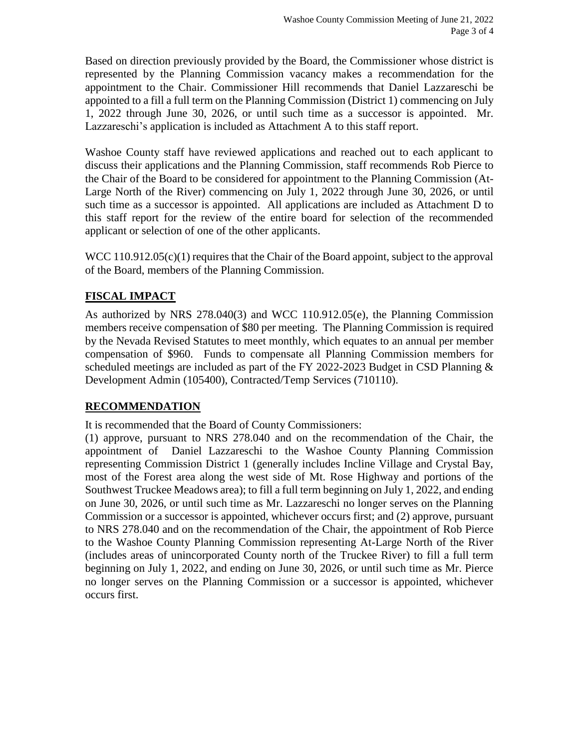Based on direction previously provided by the Board, the Commissioner whose district is represented by the Planning Commission vacancy makes a recommendation for the appointment to the Chair. Commissioner Hill recommends that Daniel Lazzareschi be appointed to a fill a full term on the Planning Commission (District 1) commencing on July 1, 2022 through June 30, 2026, or until such time as a successor is appointed. Mr. Lazzareschi's application is included as Attachment A to this staff report.

Washoe County staff have reviewed applications and reached out to each applicant to discuss their applications and the Planning Commission, staff recommends Rob Pierce to the Chair of the Board to be considered for appointment to the Planning Commission (At-Large North of the River) commencing on July 1, 2022 through June 30, 2026, or until such time as a successor is appointed. All applications are included as Attachment D to this staff report for the review of the entire board for selection of the recommended applicant or selection of one of the other applicants.

WCC 110.912.05(c)(1) requires that the Chair of the Board appoint, subject to the approval of the Board, members of the Planning Commission.

# **FISCAL IMPACT**

As authorized by NRS 278.040(3) and WCC 110.912.05(e), the Planning Commission members receive compensation of \$80 per meeting. The Planning Commission is required by the Nevada Revised Statutes to meet monthly, which equates to an annual per member compensation of \$960. Funds to compensate all Planning Commission members for scheduled meetings are included as part of the FY 2022-2023 Budget in CSD Planning & Development Admin (105400), Contracted/Temp Services (710110).

#### **RECOMMENDATION**

It is recommended that the Board of County Commissioners:

(1) approve, pursuant to NRS 278.040 and on the recommendation of the Chair, the appointment of Daniel Lazzareschi to the Washoe County Planning Commission representing Commission District 1 (generally includes Incline Village and Crystal Bay, most of the Forest area along the west side of Mt. Rose Highway and portions of the Southwest Truckee Meadows area); to fill a full term beginning on July 1, 2022, and ending on June 30, 2026, or until such time as Mr. Lazzareschi no longer serves on the Planning Commission or a successor is appointed, whichever occurs first; and (2) approve, pursuant to NRS 278.040 and on the recommendation of the Chair, the appointment of Rob Pierce to the Washoe County Planning Commission representing At-Large North of the River (includes areas of unincorporated County north of the Truckee River) to fill a full term beginning on July 1, 2022, and ending on June 30, 2026, or until such time as Mr. Pierce no longer serves on the Planning Commission or a successor is appointed, whichever occurs first.